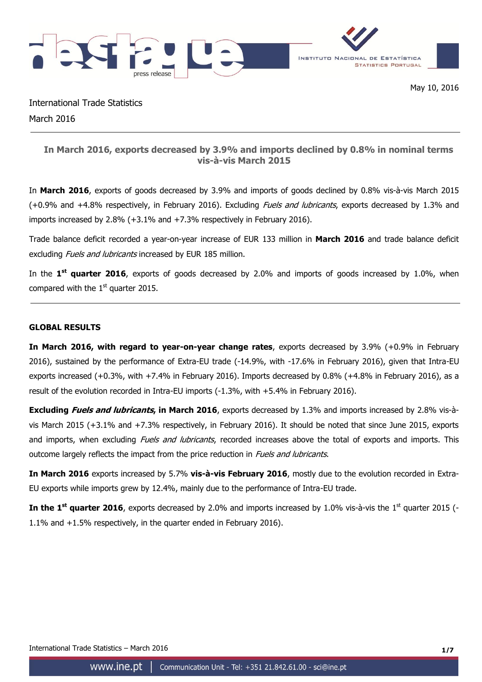

International Trade Statistics March 2016

# **In March 2016, exports decreased by 3.9% and imports declined by 0.8% in nominal terms vis-à-vis March 2015**

In **March 2016**, exports of goods decreased by 3.9% and imports of goods declined by 0.8% vis-à-vis March 2015 (+0.9% and +4.8% respectively, in February 2016). Excluding *Fuels and lubricants*, exports decreased by 1.3% and imports increased by 2.8% (+3.1% and +7.3% respectively in February 2016).

Trade balance deficit recorded a year-on-year increase of EUR 133 million in **March 2016** and trade balance deficit excluding *Fuels and lubricants* increased by EUR 185 million.

In the **1 st quarter 2016**, exports of goods decreased by 2.0% and imports of goods increased by 1.0%, when compared with the  $1<sup>st</sup>$  quarter 2015.

## **GLOBAL RESULTS**

**In March 2016, with regard to year-on-year change rates**, exports decreased by 3.9% (+0.9% in February 2016), sustained by the performance of Extra-EU trade (-14.9%, with -17.6% in February 2016), given that Intra-EU exports increased (+0.3%, with +7.4% in February 2016). Imports decreased by 0.8% (+4.8% in February 2016), as a result of the evolution recorded in Intra-EU imports (-1.3%, with +5.4% in February 2016).

**Excluding Fuels and lubricants, in March 2016**, exports decreased by 1.3% and imports increased by 2.8% vis-àvis March 2015 (+3.1% and +7.3% respectively, in February 2016). It should be noted that since June 2015, exports and imports, when excluding *Fuels and lubricants*, recorded increases above the total of exports and imports. This outcome largely reflects the impact from the price reduction in *Fuels and lubricants*.

**In March 2016** exports increased by 5.7% **vis-à-vis February 2016**, mostly due to the evolution recorded in Extra-EU exports while imports grew by 12.4%, mainly due to the performance of Intra-EU trade.

**In the 1<sup>st</sup> quarter 2016**, exports decreased by 2.0% and imports increased by 1.0% vis-à-vis the 1<sup>st</sup> quarter 2015 (-1.1% and +1.5% respectively, in the quarter ended in February 2016).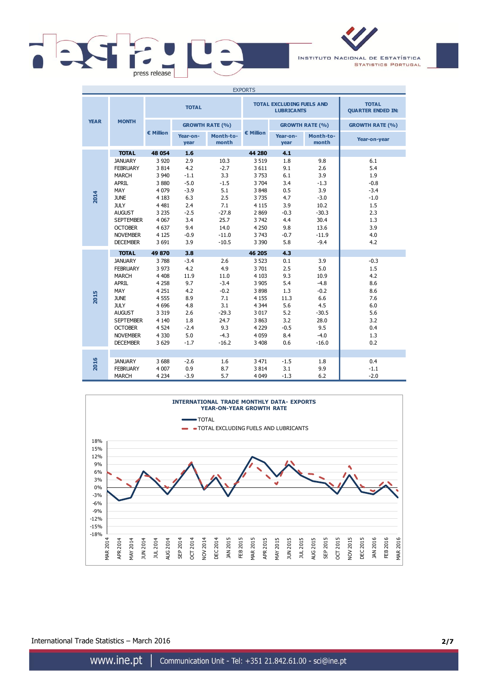

INSTITUTO NACIONAL DE ESTATÍSTICA **STATISTICS PORTUGAL** 

| <b>EXPORTS</b> |                  |              |                  |                        |                    |                                                       |                                          |                        |
|----------------|------------------|--------------|------------------|------------------------|--------------------|-------------------------------------------------------|------------------------------------------|------------------------|
|                |                  | <b>TOTAL</b> |                  |                        |                    | <b>TOTAL EXCLUDING FUELS AND</b><br><b>LUBRICANTS</b> | <b>TOTAL</b><br><b>QUARTER ENDED IN:</b> |                        |
| <b>YEAR</b>    | <b>MONTH</b>     |              |                  | <b>GROWTH RATE (%)</b> |                    |                                                       | <b>GROWTH RATE (%)</b>                   | <b>GROWTH RATE (%)</b> |
|                |                  | € Million    | Year-on-<br>year | Month-to-<br>month     | $\epsilon$ Million | Year-on-<br>year                                      | Month-to-<br>month                       | Year-on-year           |
|                | <b>TOTAL</b>     | 48 054       | 1.6              |                        | 44 280             | 4.1                                                   |                                          |                        |
|                | <b>JANUARY</b>   | 3 9 20       | 2.9              | 10.3                   | 3 5 1 9            | 1.8                                                   | 9.8                                      | 6.1                    |
|                | <b>FEBRUARY</b>  | 3814         | 4.2              | $-2.7$                 | 3 6 1 1            | 9.1                                                   | 2.6                                      | 5.4                    |
|                | <b>MARCH</b>     | 3 9 4 0      | $-1.1$           | 3.3                    | 3753               | 6.1                                                   | 3.9                                      | 1.9                    |
|                | <b>APRIL</b>     | 3880         | $-5.0$           | $-1.5$                 | 3 7 0 4            | 3.4                                                   | $-1.3$                                   | $-0.8$                 |
|                | <b>MAY</b>       | 4 0 7 9      | $-3.9$           | 5.1                    | 3848               | 0.5                                                   | 3.9                                      | $-3.4$                 |
| 2014           | <b>JUNE</b>      | 4 1 8 3      | 6.3              | 2.5                    | 3735               | 4.7                                                   | $-3.0$                                   | $-1.0$                 |
|                | <b>JULY</b>      | 4 4 8 1      | 2.4              | 7.1                    | 4 1 1 5            | 3.9                                                   | 10.2                                     | 1.5                    |
|                | <b>AUGUST</b>    | 3 2 3 5      | $-2.5$           | $-27.8$                | 2869               | $-0.3$                                                | $-30.3$                                  | 2.3                    |
|                | <b>SEPTEMBER</b> | 4 0 67       | 3.4              | 25.7                   | 3742               | 4.4                                                   | 30.4                                     | 1.3                    |
|                | <b>OCTOBER</b>   | 4 6 3 7      | 9.4              | 14.0                   | 4 2 5 0            | 9.8                                                   | 13.6                                     | 3.9                    |
|                | <b>NOVEMBER</b>  | 4 1 2 5      | $-0.9$           | $-11.0$                | 3 7 4 3            | $-0.7$                                                | $-11.9$                                  | 4.0                    |
|                | <b>DECEMBER</b>  | 3 6 9 1      | 3.9              | $-10.5$                | 3 3 9 0            | 5.8                                                   | $-9.4$                                   | 4.2                    |
|                | <b>TOTAL</b>     | 49 870       | 3.8              |                        | 46 205             | 4.3                                                   |                                          |                        |
|                | <b>JANUARY</b>   | 3788         | $-3.4$           | 2.6                    | 3 5 2 3            | 0.1                                                   | 3.9                                      | $-0.3$                 |
|                | <b>FEBRUARY</b>  | 3 9 7 3      | 4.2              | 4.9                    | 3701               | 2.5                                                   | 5.0                                      | 1.5                    |
|                | <b>MARCH</b>     | 4 4 0 8      | 11.9             | 11.0                   | 4 1 0 3            | 9.3                                                   | 10.9                                     | 4.2                    |
|                | <b>APRIL</b>     | 4 2 5 8      | 9.7              | $-3.4$                 | 3 9 0 5            | 5.4                                                   | $-4.8$                                   | 8.6                    |
|                | MAY              | 4 2 5 1      | 4.2              | $-0.2$                 | 3898               | 1.3                                                   | $-0.2$                                   | 8.6                    |
| 2015           | <b>JUNE</b>      | 4 5 5 5      | 8.9              | 7.1                    | 4 1 5 5            | 11.3                                                  | 6.6                                      | 7.6                    |
|                | <b>JULY</b>      | 4 6 9 6      | 4.8              | 3.1                    | 4 3 4 4            | 5.6                                                   | 4.5                                      | 6.0                    |
|                | <b>AUGUST</b>    | 3 3 1 9      | 2.6              | $-29.3$                | 3 0 1 7            | 5.2                                                   | $-30.5$                                  | 5.6                    |
|                | <b>SEPTEMBER</b> | 4 1 4 0      | 1.8              | 24.7                   | 3 8 6 3            | 3.2                                                   | 28.0                                     | 3.2                    |
|                | <b>OCTOBER</b>   | 4 5 24       | $-2.4$           | 9.3                    | 4 2 2 9            | $-0.5$                                                | 9.5                                      | 0.4                    |
|                | <b>NOVEMBER</b>  | 4 3 3 0      | 5.0              | $-4.3$                 | 4 0 5 9            | 8.4                                                   | $-4.0$                                   | 1.3                    |
|                | <b>DECEMBER</b>  | 3629         | $-1.7$           | $-16.2$                | 3 4 0 8            | 0.6                                                   | $-16.0$                                  | 0.2                    |
|                |                  |              |                  |                        |                    |                                                       |                                          |                        |
| 2016           | <b>JANUARY</b>   | 3688         | $-2.6$           | 1.6                    | 3 4 7 1            | $-1.5$                                                | 1.8                                      | 0.4                    |
|                | <b>FEBRUARY</b>  | 4 0 0 7      | 0.9              | 8.7                    | 3814               | 3.1                                                   | 9.9                                      | $-1.1$                 |
|                | <b>MARCH</b>     | 4 2 3 4      | $-3.9$           | 5.7                    | 4 0 4 9            | $-1.3$                                                | 6.2                                      | $-2.0$                 |



International Trade Statistics – March 2016 **2/7**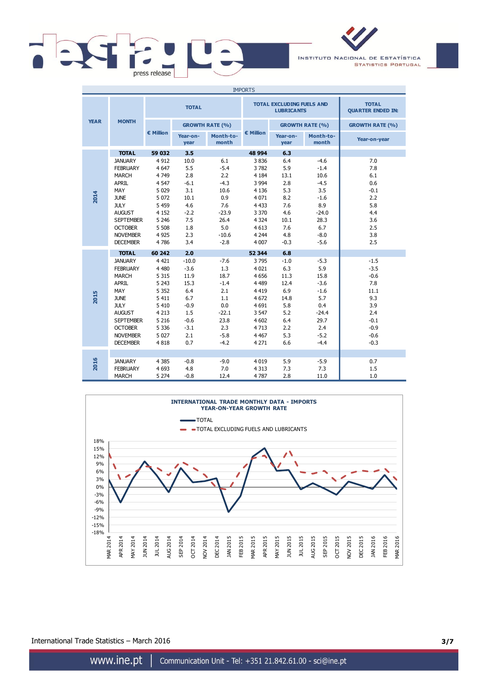

INSTITUTO NACIONAL DE ESTATÍSTICA **STATISTICS PORTUGAL** 

| <b>IMPORTS</b> |                  |              |                  |                        |           |                                                       |                                          |                        |
|----------------|------------------|--------------|------------------|------------------------|-----------|-------------------------------------------------------|------------------------------------------|------------------------|
|                |                  | <b>TOTAL</b> |                  |                        |           | <b>TOTAL EXCLUDING FUELS AND</b><br><b>LUBRICANTS</b> | <b>TOTAL</b><br><b>QUARTER ENDED IN:</b> |                        |
| <b>YEAR</b>    | <b>MONTH</b>     |              |                  | <b>GROWTH RATE (%)</b> |           |                                                       | <b>GROWTH RATE (%)</b>                   | <b>GROWTH RATE (%)</b> |
|                |                  | € Million    | Year-on-<br>year | Month-to-<br>month     | € Million | Year-on-<br>year                                      | Month-to-<br>month                       | Year-on-year           |
|                | <b>TOTAL</b>     | 59 032       | 3.5              |                        | 48 994    | 6.3                                                   |                                          |                        |
|                | <b>JANUARY</b>   | 4 9 12       | 10.0             | 6.1                    | 3836      | 6.4                                                   | $-4.6$                                   | 7.0                    |
|                | <b>FEBRUARY</b>  | 4 6 4 7      | 5.5              | $-5.4$                 | 3782      | 5.9                                                   | $-1.4$                                   | 7.8                    |
|                | <b>MARCH</b>     | 4749         | 2.8              | 2.2                    | 4 1 8 4   | 13.1                                                  | 10.6                                     | 6.1                    |
|                | <b>APRIL</b>     | 4 5 4 7      | $-6.1$           | $-4.3$                 | 3 9 9 4   | 2.8                                                   | $-4.5$                                   | 0.6                    |
|                | MAY              | 5 0 2 9      | 3.1              | 10.6                   | 4 1 3 6   | 5.3                                                   | 3.5                                      | $-0.1$                 |
| 2014           | <b>JUNE</b>      | 5 0 7 2      | 10.1             | 0.9                    | 4 0 7 1   | 8.2                                                   | $-1.6$                                   | 2.2                    |
|                | <b>JULY</b>      | 5 4 5 9      | 4.6              | 7.6                    | 4 4 3 3   | 7.6                                                   | 8.9                                      | 5.8                    |
|                | <b>AUGUST</b>    | 4 1 5 2      | $-2.2$           | $-23.9$                | 3 3 7 0   | 4.6                                                   | $-24.0$                                  | 4.4                    |
|                | <b>SEPTEMBER</b> | 5 2 4 6      | 7.5              | 26.4                   | 4 3 2 4   | 10.1                                                  | 28.3                                     | 3.6                    |
|                | <b>OCTOBER</b>   | 5 5 0 8      | 1.8              | 5.0                    | 4 6 13    | 7.6                                                   | 6.7                                      | 2.5                    |
|                | <b>NOVEMBER</b>  | 4 9 2 5      | 2.3              | $-10.6$                | 4 2 4 4   | 4.8                                                   | $-8.0$                                   | 3.8                    |
|                | <b>DECEMBER</b>  | 4786         | 3.4              | $-2.8$                 | 4 0 0 7   | $-0.3$                                                | $-5.6$                                   | 2.5                    |
|                | <b>TOTAL</b>     | 60 242       | 2.0              |                        | 52 344    | 6.8                                                   |                                          |                        |
|                | <b>JANUARY</b>   | 4 4 2 1      | $-10.0$          | $-7.6$                 | 3795      | $-1.0$                                                | $-5.3$                                   | $-1.5$                 |
|                | <b>FEBRUARY</b>  | 4 4 8 0      | $-3.6$           | 1.3                    | 4 0 21    | 6.3                                                   | 5.9                                      | $-3.5$                 |
|                | <b>MARCH</b>     | 5 3 1 5      | 11.9             | 18.7                   | 4 6 5 6   | 11.3                                                  | 15.8                                     | $-0.6$                 |
|                | <b>APRIL</b>     | 5 2 4 3      | 15.3             | $-1.4$                 | 4 4 8 9   | 12.4                                                  | $-3.6$                                   | 7.8                    |
|                | <b>MAY</b>       | 5 3 5 2      | 6.4              | 2.1                    | 4 4 1 9   | 6.9                                                   | $-1.6$                                   | 11.1                   |
| 2015           | <b>JUNE</b>      | 5 4 1 1      | 6.7              | 1.1                    | 4 672     | 14.8                                                  | 5.7                                      | 9.3                    |
|                | <b>JULY</b>      | 5 4 1 0      | $-0.9$           | 0.0                    | 4 6 9 1   | 5.8                                                   | 0.4                                      | 3.9                    |
|                | <b>AUGUST</b>    | 4 2 1 3      | 1.5              | $-22.1$                | 3 5 4 7   | 5.2                                                   | $-24.4$                                  | 2.4                    |
|                | <b>SEPTEMBER</b> | 5 2 1 6      | $-0.6$           | 23.8                   | 4 602     | 6.4                                                   | 29.7                                     | $-0.1$                 |
|                | <b>OCTOBER</b>   | 5 3 3 6      | $-3.1$           | 2.3                    | 4713      | 2.2                                                   | 2.4                                      | $-0.9$                 |
|                | <b>NOVEMBER</b>  | 5 0 2 7      | 2.1              | $-5.8$                 | 4 4 6 7   | 5.3                                                   | $-5.2$                                   | $-0.6$                 |
|                | <b>DECEMBER</b>  | 4818         | 0.7              | $-4.2$                 | 4 2 7 1   | 6.6                                                   | $-4.4$                                   | $-0.3$                 |
|                |                  |              |                  |                        |           |                                                       |                                          |                        |
| 2016           | <b>JANUARY</b>   | 4 3 8 5      | $-0.8$           | $-9.0$                 | 4 0 1 9   | 5.9                                                   | $-5.9$                                   | 0.7                    |
|                | <b>FEBRUARY</b>  | 4 6 9 3      | 4.8              | 7.0                    | 4 3 1 3   | 7.3                                                   | 7.3                                      | 1.5                    |
|                | <b>MARCH</b>     | 5 2 7 4      | $-0.8$           | 12.4                   | 4787      | 2.8                                                   | 11.0                                     | 1.0                    |



International Trade Statistics – March 2016 **3/7**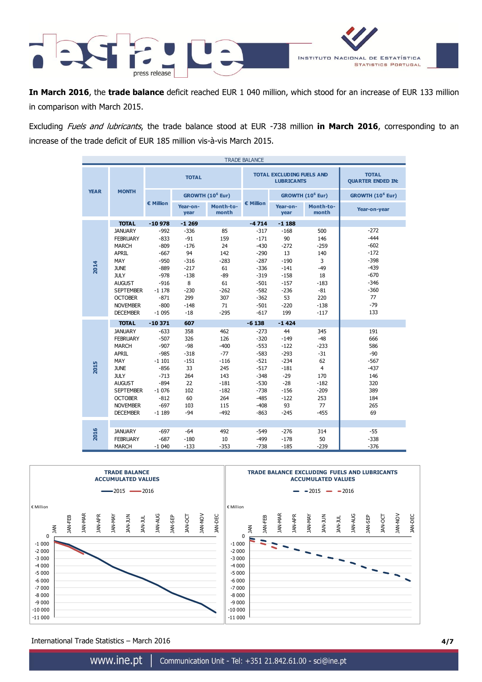

**In March 2016**, the **trade balance** deficit reached EUR 1 040 million, which stood for an increase of EUR 133 million in comparison with March 2015.

Excluding Fuels and lubricants, the trade balance stood at EUR -738 million **in March 2016**, corresponding to an increase of the trade deficit of EUR 185 million vis-à-vis March 2015.

| <b>TRADE BALANCE</b> |                  |                    |                  |                              |           |                                                       |                              |                                          |
|----------------------|------------------|--------------------|------------------|------------------------------|-----------|-------------------------------------------------------|------------------------------|------------------------------------------|
|                      |                  |                    | <b>TOTAL</b>     |                              |           | <b>TOTAL EXCLUDING FUELS AND</b><br><b>LUBRICANTS</b> |                              | <b>TOTAL</b><br><b>QUARTER ENDED IN:</b> |
| <b>YEAR</b>          | <b>MONTH</b>     |                    |                  | GROWTH (10 <sup>6</sup> Eur) |           |                                                       | GROWTH (10 <sup>6</sup> Eur) | GROWTH (10 <sup>6</sup> Eur)             |
|                      |                  | $\epsilon$ Million | Year-on-<br>year | Month-to-<br>month           | € Million | Year-on-<br>year                                      | Month-to-<br>month           | Year-on-year                             |
|                      | <b>TOTAL</b>     | $-10978$           | $-1269$          |                              | $-4714$   | $-1188$                                               |                              |                                          |
|                      | <b>JANUARY</b>   | $-992$             | $-336$           | 85                           | $-317$    | $-168$                                                | 500                          | $-272$                                   |
|                      | <b>FEBRUARY</b>  | $-833$             | $-91$            | 159                          | $-171$    | 90                                                    | 146                          | $-444$                                   |
|                      | <b>MARCH</b>     | $-809$             | $-176$           | 24                           | $-430$    | $-272$                                                | $-259$                       | $-602$                                   |
|                      | <b>APRIL</b>     | $-667$             | 94               | 142                          | $-290$    | 13                                                    | 140                          | $-172$                                   |
|                      | MAY              | $-950$             | $-316$           | $-283$                       | $-287$    | $-190$                                                | 3                            | $-398$                                   |
| 2014                 | <b>JUNE</b>      | $-889$             | $-217$           | 61                           | $-336$    | $-141$                                                | $-49$                        | $-439$                                   |
|                      | <b>JULY</b>      | $-978$             | $-138$           | $-89$                        | $-319$    | $-158$                                                | 18                           | $-670$                                   |
|                      | <b>AUGUST</b>    | $-916$             | 8                | 61                           | $-501$    | $-157$                                                | $-183$                       | $-346$                                   |
|                      | <b>SEPTEMBER</b> | $-1178$            | $-230$           | $-262$                       | $-582$    | $-236$                                                | $-81$                        | $-360$                                   |
|                      | <b>OCTOBER</b>   | $-871$             | 299              | 307                          | $-362$    | 53                                                    | 220                          | 77                                       |
|                      | <b>NOVEMBER</b>  | $-800$             | $-148$           | 71                           | $-501$    | $-220$                                                | $-138$                       | $-79$                                    |
|                      | <b>DECEMBER</b>  | $-1095$            | $-18$            | $-295$                       | $-617$    | 199                                                   | $-117$                       | 133                                      |
|                      | <b>TOTAL</b>     | $-10371$           | 607              |                              | $-6138$   | $-1424$                                               |                              |                                          |
|                      | <b>JANUARY</b>   | $-633$             | 358              | 462                          | $-273$    | 44                                                    | 345                          | 191                                      |
|                      | <b>FEBRUARY</b>  | $-507$             | 326              | 126                          | $-320$    | $-149$                                                | $-48$                        | 666                                      |
|                      | <b>MARCH</b>     | $-907$             | $-98$            | $-400$                       | $-553$    | $-122$                                                | $-233$                       | 586                                      |
|                      | <b>APRIL</b>     | $-985$             | $-318$           | $-77$                        | $-583$    | $-293$                                                | $-31$                        | $-90$                                    |
|                      | MAY              | $-1101$            | $-151$           | $-116$                       | $-521$    | $-234$                                                | 62                           | $-567$                                   |
| 2015                 | <b>JUNE</b>      | $-856$             | 33               | 245                          | $-517$    | $-181$                                                | $\overline{4}$               | $-437$                                   |
|                      | <b>JULY</b>      | $-713$             | 264              | 143                          | $-348$    | $-29$                                                 | 170                          | 146                                      |
|                      | <b>AUGUST</b>    | $-894$             | 22               | $-181$                       | $-530$    | $-28$                                                 | $-182$                       | 320                                      |
|                      | <b>SEPTEMBER</b> | $-1076$            | 102              | $-182$                       | $-738$    | $-156$                                                | $-209$                       | 389                                      |
|                      | <b>OCTOBER</b>   | $-812$             | 60               | 264                          | $-485$    | $-122$                                                | 253                          | 184                                      |
|                      | <b>NOVEMBER</b>  | $-697$             | 103              | 115                          | $-408$    | 93                                                    | 77                           | 265                                      |
|                      | <b>DECEMBER</b>  | $-1189$            | $-94$            | $-492$                       | $-863$    | $-245$                                                | $-455$                       | 69                                       |
|                      |                  |                    |                  |                              |           |                                                       |                              |                                          |
| 2016                 | <b>JANUARY</b>   | $-697$             | $-64$            | 492                          | $-549$    | $-276$                                                | 314                          | $-55$                                    |
|                      | <b>FEBRUARY</b>  | $-687$             | $-180$           | 10                           | $-499$    | $-178$                                                | 50                           | $-338$                                   |
|                      | <b>MARCH</b>     | $-1040$            | $-133$           | $-353$                       | $-738$    | $-185$                                                | $-239$                       | $-376$                                   |



International Trade Statistics – March 2016 **4/7**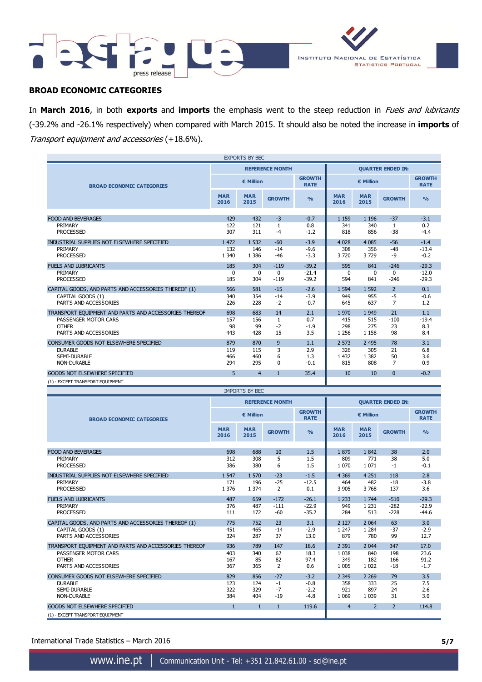



### **BROAD ECONOMIC CATEGORIES**

In **March 2016**, in both **exports** and **imports** the emphasis went to the steep reduction in Fuels and lubricants (-39.2% and -26.1% respectively) when compared with March 2015. It should also be noted the increase in **imports** of Transport equipment and accessories (+18.6%).

| <b>EXPORTS BY BEC</b>                                 |                    |                       |                        |                              |                          |                    |                |                              |
|-------------------------------------------------------|--------------------|-----------------------|------------------------|------------------------------|--------------------------|--------------------|----------------|------------------------------|
|                                                       |                    |                       | <b>REFERENCE MONTH</b> |                              | <b>QUARTER ENDED IN:</b> |                    |                |                              |
| <b>BROAD ECONOMIC CATEGORIES</b>                      |                    | € Million             |                        | <b>GROWTH</b><br><b>RATE</b> | € Million                |                    |                | <b>GROWTH</b><br><b>RATE</b> |
|                                                       | <b>MAR</b><br>2016 | <b>MAR</b><br>2015    | <b>GROWTH</b>          | $\frac{9}{6}$                | <b>MAR</b><br>2016       | <b>MAR</b><br>2015 | <b>GROWTH</b>  | O <sub>0</sub>               |
|                                                       |                    |                       |                        |                              |                          |                    |                |                              |
| <b>FOOD AND BEVERAGES</b>                             | 429                | 432                   | $-3$                   | $-0.7$                       | 1 1 5 9                  | 1 1 9 6            | $-37$          | $-3.1$                       |
| PRIMARY                                               | 122                | 121                   | $\mathbf{1}$           | 0.8                          | 341                      | 340                | $\mathbf{1}$   | 0.2                          |
| <b>PROCESSED</b>                                      | 307                | 311                   | $-4$                   | $-1.2$                       | 818                      | 856                | $-38$          | $-4.4$                       |
| INDUSTRIAL SUPPLIES NOT ELSEWHERE SPECIFIED           | 1 4 7 2            | 1 5 3 2               | $-60$                  | $-3.9$                       | 4 0 28                   | 4 0 8 5            | $-56$          | $-1.4$                       |
| PRIMARY                                               | 132                | 146                   | $-14$                  | $-9.6$                       | 308                      | 356                | $-48$          | $-13.4$                      |
| <b>PROCESSED</b>                                      | 1 3 4 0            | 1 3 8 6               | $-46$                  | $-3.3$                       | 3720                     | 3729               | -9             | $-0.2$                       |
| <b>FUELS AND LUBRICANTS</b>                           | 185                | 304                   | $-119$                 | $-39.2$                      | 595                      | 841                | $-246$         | $-29.3$                      |
| PRIMARY                                               | $\Omega$           | $\Omega$              | 0                      | $-21.4$                      | $\Omega$                 | $\Omega$           | 0              | $-12.0$                      |
| <b>PROCESSED</b>                                      | 185                | 304                   | $-119$                 | $-39.2$                      | 594                      | 841                | $-246$         | $-29.3$                      |
| CAPITAL GOODS, AND PARTS AND ACCESSORIES THEREOF (1)  | 566                | 581                   | $-15$                  | $-2.6$                       | 1 5 9 4                  | 1 5 9 2            | $\overline{2}$ | 0.1                          |
| CAPITAL GOODS (1)                                     | 340                | 354                   | $-14$                  | $-3.9$                       | 949                      | 955                | $-5$           | $-0.6$                       |
| PARTS AND ACCESSORIES                                 | 226                | 228                   | $-2$                   | $-0.7$                       | 645                      | 637                | $\overline{7}$ | 1.2                          |
| TRANSPORT EQUIPMENT AND PARTS AND ACCESSORIES THEREOF | 698                | 683                   | 14                     | 2.1                          | 1970                     | 1 9 4 9            | 21             | 1.1                          |
| PASSENGER MOTOR CARS                                  | 157                | 156                   | $\mathbf{1}$           | 0.7                          | 415                      | 515                | $-100$         | $-19.4$                      |
| <b>OTHER</b>                                          | 98                 | 99                    | $-2$                   | $-1.9$                       | 298                      | 275                | 23             | 8.3                          |
| PARTS AND ACCESSORIES                                 | 443                | 428                   | 15                     | 3.5                          | 1 2 5 6                  | 1 1 5 8            | 98             | 8.4                          |
| CONSUMER GOODS NOT ELSEWHERE SPECIFIED                | 879                | 870                   | 9                      | 1.1                          | 2 5 7 3                  | 2 4 9 5            | 78             | 3.1                          |
| <b>DURABLE</b>                                        | 119                | 115                   | 3                      | 2.9                          | 326                      | 305                | 21             | 6.8                          |
| <b>SEMI-DURABLE</b>                                   | 466                | 460                   | 6                      | 1.3                          | 1 4 3 2                  | 1 3 8 2            | 50             | 3.6                          |
| <b>NON-DURABLE</b>                                    | 294                | 295                   | 0                      | $-0.1$                       | 815                      | 808                | $\overline{7}$ | 0.9                          |
| <b>GOODS NOT ELSEWHERE SPECIFIED</b>                  | 5                  | $\overline{4}$        | $\mathbf{1}$           | 35.4                         | 10                       | 10                 | $\mathbf{0}$   | $-0.2$                       |
| (1) - EXCEPT TRANSPORT EQUIPMENT                      |                    |                       |                        |                              |                          |                    |                |                              |
|                                                       |                    | <b>IMPORTS BY BEC</b> |                        |                              |                          |                    |                |                              |

|                                                       |                    | IMPURIS DI DEC     |                        |                              |                          |                    |               |                              |
|-------------------------------------------------------|--------------------|--------------------|------------------------|------------------------------|--------------------------|--------------------|---------------|------------------------------|
|                                                       |                    |                    | <b>REFERENCE MONTH</b> |                              | <b>QUARTER ENDED IN:</b> |                    |               |                              |
| <b>BROAD ECONOMIC CATEGORIES</b>                      |                    | € Million          |                        | <b>GROWTH</b><br><b>RATE</b> | € Million                |                    |               | <b>GROWTH</b><br><b>RATE</b> |
|                                                       | <b>MAR</b><br>2016 | <b>MAR</b><br>2015 | <b>GROWTH</b>          | $\frac{9}{6}$                | <b>MAR</b><br>2016       | <b>MAR</b><br>2015 | <b>GROWTH</b> | $\frac{9}{6}$                |
|                                                       |                    |                    |                        |                              |                          |                    |               |                              |
| <b>FOOD AND BEVERAGES</b>                             | 698                | 688                | 10                     | 1.5                          | 1879                     | 1842               | 38            | 2.0                          |
| PRIMARY<br><b>PROCESSED</b>                           | 312<br>386         | 308<br>380         | 5<br>6                 | 1.5<br>1.5                   | 809<br>1 0 7 0           | 771<br>1 0 7 1     | 38<br>$-1$    | 5.0<br>$-0.1$                |
| INDUSTRIAL SUPPLIES NOT ELSEWHERE SPECIFIED           | 1 5 4 7            | 1 570              | $-23$                  | $-1.5$                       | 4 3 6 9                  | 4 2 5 1            | 118           | 2.8                          |
| PRIMARY                                               | 171                | 196                | $-25$                  | $-12.5$                      | 464                      | 482                | $-18$         | $-3.8$                       |
| <b>PROCESSED</b>                                      | 1 3 7 6            | 1 3 7 4            | $\overline{2}$         | 0.1                          | 3 9 0 5                  | 3768               | 137           | 3.6                          |
| <b>FUELS AND LUBRICANTS</b>                           | 487                | 659                | $-172$                 | $-26.1$                      | 1 2 3 3                  | 1 7 4 4            | $-510$        | $-29.3$                      |
| PRIMARY                                               | 376                | 487                | $-111$                 | $-22.9$                      | 949                      | 1 2 3 1            | $-282$        | $-22.9$                      |
| <b>PROCESSED</b>                                      | 111                | 172                | $-60$                  | $-35.2$                      | 284                      | 513                | $-228$        | $-44.6$                      |
| CAPITAL GOODS, AND PARTS AND ACCESSORIES THEREOF (1)  | 775                | 752                | 23                     | 3.1                          | 2 1 2 7                  | 2 0 6 4            | 63            | 3.0                          |
| CAPITAL GOODS (1)                                     | 451                | 465                | $-14$                  | $-2.9$                       | 1 2 4 7                  | 1 2 8 4            | $-37$         | $-2.9$                       |
| PARTS AND ACCESSORIES                                 | 324                | 287                | 37                     | 13.0                         | 879                      | 780                | 99            | 12.7                         |
| TRANSPORT EQUIPMENT AND PARTS AND ACCESSORIES THEREOF | 936                | 789                | 147                    | 18.6                         | 2 3 9 1                  | 2 0 4 4            | 347           | 17.0                         |
| PASSENGER MOTOR CARS                                  | 403                | 340                | 62                     | 18.3                         | 1 0 3 8                  | 840                | 198           | 23.6                         |
| <b>OTHER</b>                                          | 167                | 85                 | 82                     | 97.4                         | 349                      | 182                | 166           | 91.2                         |
| PARTS AND ACCESSORIES                                 | 367                | 365                | 2                      | 0.6                          | 1 0 0 5                  | 1 0 2 2            | $-18$         | $-1.7$                       |
| CONSUMER GOODS NOT ELSEWHERE SPECIFIED                | 829                | 856                | $-27$                  | $-3.2$                       | 2 3 4 9                  | 2 2 6 9            | 79            | 3.5                          |
| <b>DURABLE</b>                                        | 123                | 124                | $-1$                   | $-0.8$                       | 358                      | 333                | 25            | 7.5                          |
| <b>SEMI-DURABLE</b>                                   | 322                | 329                | $-7$                   | $-2.2$                       | 921                      | 897                | 24            | 2.6                          |
| <b>NON-DURABLE</b>                                    | 384                | 404                | $-19$                  | $-4.8$                       | 1 0 6 9                  | 1 0 3 9            | 31            | 3.0                          |
| <b>GOODS NOT ELSEWHERE SPECIFIED</b>                  | $\mathbf{1}$       | $\mathbf{1}$       | $\mathbf{1}$           | 119.6                        | $\overline{4}$           | $\overline{2}$     | $\mathcal{P}$ | 114.8                        |
| (1) - EXCEPT TRANSPORT EQUIPMENT                      |                    |                    |                        |                              |                          |                    |               |                              |

International Trade Statistics – March 2016 **5/7**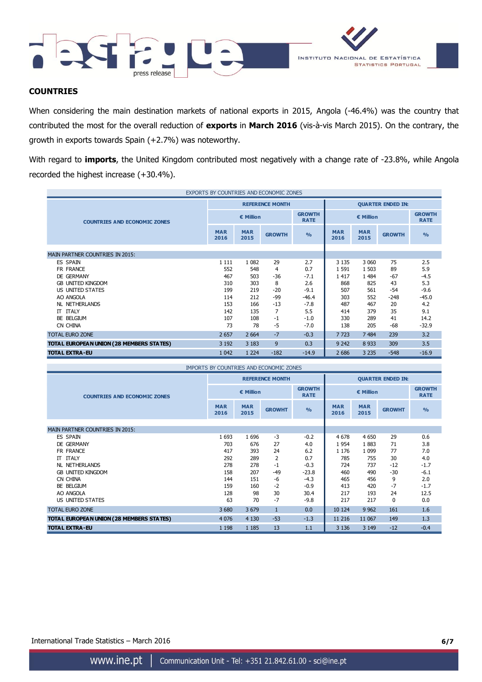



## **COUNTRIES**

When considering the main destination markets of national exports in 2015, Angola (-46.4%) was the country that contributed the most for the overall reduction of **exports** in **March 2016** (vis-à-vis March 2015). On the contrary, the growth in exports towards Spain (+2.7%) was noteworthy.

With regard to **imports**, the United Kingdom contributed most negatively with a change rate of -23.8%, while Angola recorded the highest increase (+30.4%).

| EXPORTS BY COUNTRIES AND ECONOMIC ZONES  |                    |                        |               |                              |                    |                    |               |                              |
|------------------------------------------|--------------------|------------------------|---------------|------------------------------|--------------------|--------------------|---------------|------------------------------|
|                                          |                    | <b>REFERENCE MONTH</b> |               | <b>QUARTER ENDED IN:</b>     |                    |                    |               |                              |
| <b>COUNTRIES AND ECONOMIC ZONES</b>      | € Million          |                        |               | <b>GROWTH</b><br><b>RATE</b> | € Million          |                    |               | <b>GROWTH</b><br><b>RATE</b> |
|                                          | <b>MAR</b><br>2016 | <b>MAR</b><br>2015     | <b>GROWTH</b> | O <sub>0</sub>               | <b>MAR</b><br>2016 | <b>MAR</b><br>2015 | <b>GROWTH</b> | O <sub>0</sub>               |
|                                          |                    |                        |               |                              |                    |                    |               |                              |
| <b>MAIN PARTNER COUNTRIES IN 2015:</b>   |                    |                        |               |                              |                    |                    |               |                              |
| ES SPAIN                                 | 1 1 1 1            | 1 0 8 2                | 29            | 2.7                          | 3 1 3 5            | 3 0 6 0            | 75            | 2.5                          |
| FR FRANCE                                | 552                | 548                    | 4             | 0.7                          | 1 5 9 1            | 1 5 0 3            | 89            | 5.9                          |
| DE GERMANY                               | 467                | 503                    | $-36$         | $-7.1$                       | 1 4 1 7            | 1 4 8 4            | $-67$         | $-4.5$                       |
| <b>GB UNITED KINGDOM</b>                 | 310                | 303                    | 8             | 2.6                          | 868                | 825                | 43            | 5.3                          |
| US UNITED STATES                         | 199                | 219                    | $-20$         | $-9.1$                       | 507                | 561                | -54           | $-9.6$                       |
| AO ANGOLA                                | 114                | 212                    | $-99$         | $-46.4$                      | 303                | 552                | $-248$        | $-45.0$                      |
| <b>NL NETHERLANDS</b>                    | 153                | 166                    | $-13$         | $-7.8$                       | 487                | 467                | 20            | 4.2                          |
| <b>IT ITALY</b>                          | 142                | 135                    | 7             | 5.5                          | 414                | 379                | 35            | 9.1                          |
| BE BELGIUM                               | 107                | 108                    | -1            | $-1.0$                       | 330                | 289                | 41            | 14.2                         |
| CN CHINA                                 | 73                 | 78                     | -5            | $-7.0$                       | 138                | 205                | $-68$         | $-32.9$                      |
| <b>TOTAL EURO ZONE</b>                   | 2 6 5 7            | 2 6 6 4                | $-7$          | $-0.3$                       | 7723               | 7 4 8 4            | 239           | 3.2                          |
| TOTAL EUROPEAN UNION (28 MEMBERS STATES) | 3 1 9 2            | 3 1 8 3                | 9             | 0.3                          | 9 2 4 2            | 8 9 3 3            | 309           | 3.5                          |
| <b>TOTAL EXTRA-EU</b>                    | 1 0 4 2            | 1 2 2 4                | $-182$        | $-14.9$                      | 2 6 8 6            | 3 2 3 5            | $-548$        | $-16.9$                      |

| <b>IMPORTS BY COUNTRIES AND ECONOMIC ZONES</b> |                    |                    |                        |                              |                          |                    |               |                              |
|------------------------------------------------|--------------------|--------------------|------------------------|------------------------------|--------------------------|--------------------|---------------|------------------------------|
|                                                |                    |                    | <b>REFERENCE MONTH</b> |                              | <b>QUARTER ENDED IN:</b> |                    |               |                              |
| <b>COUNTRIES AND ECONOMIC ZONES</b>            | € Million          |                    |                        | <b>GROWTH</b><br><b>RATE</b> | € Million                |                    |               | <b>GROWTH</b><br><b>RATE</b> |
|                                                | <b>MAR</b><br>2016 | <b>MAR</b><br>2015 | <b>GROWHT</b>          | $\frac{9}{6}$                | <b>MAR</b><br>2016       | <b>MAR</b><br>2015 | <b>GROWHT</b> | $\frac{9}{0}$                |
| <b>MAIN PARTNER COUNTRIES IN 2015:</b>         |                    |                    |                        |                              |                          |                    |               |                              |
| ES SPAIN                                       | 1693               | 1696               | $-3$                   | $-0.2$                       | 4 6 7 8                  | 4 6 5 0            | 29            | 0.6                          |
| DE GERMANY                                     | 703                | 676                | 27                     | 4.0                          | 1954                     | 1883               | 71            | 3.8                          |
| FR FRANCE                                      | 417                | 393                | 24                     | 6.2                          | 1 1 7 6                  | 1 0 9 9            | 77            | 7.0                          |
| <b>IT ITALY</b>                                | 292                | 289                | 2                      | 0.7                          | 785                      | 755                | 30            | 4.0                          |
| NL NETHERLANDS                                 | 278                | 278                | $-1$                   | $-0.3$                       | 724                      | 737                | $-12$         | $-1.7$                       |
| <b>GB UNITED KINGDOM</b>                       | 158                | 207                | $-49$                  | $-23.8$                      | 460                      | 490                | $-30$         | $-6.1$                       |
| CN CHINA                                       | 144                | 151                | -6                     | $-4.3$                       | 465                      | 456                | 9             | 2.0                          |
| BE BELGIUM                                     | 159                | 160                | $-2$                   | $-0.9$                       | 413                      | 420                | $-7$          | $-1.7$                       |
| AO ANGOLA                                      | 128                | 98                 | 30                     | 30.4                         | 217                      | 193                | 24            | 12.5                         |
| US UNITED STATES                               | 63                 | 70                 | $-7$                   | $-9.8$                       | 217                      | 217                | 0             | 0.0                          |
|                                                |                    |                    |                        |                              |                          |                    |               |                              |
| <b>TOTAL EURO ZONE</b>                         | 3 6 8 0            | 3 6 7 9            | $\mathbf{1}$           | 0.0                          | 10 124                   | 9 9 6 2            | 161           | 1.6                          |
| TOTAL EUROPEAN UNION (28 MEMBERS STATES)       | 4 0 7 6            | 4 1 3 0            | $-53$                  | $-1.3$                       | 11 216                   | 11 067             | 149           | 1.3                          |
| <b>TOTAL EXTRA-EU</b>                          | 1 1 9 8            | 1 1 8 5            | 13                     | 1.1                          | 3 1 3 6                  | 3 1 4 9            | $-12$         | $-0.4$                       |

International Trade Statistics – March 2016 **6/7**